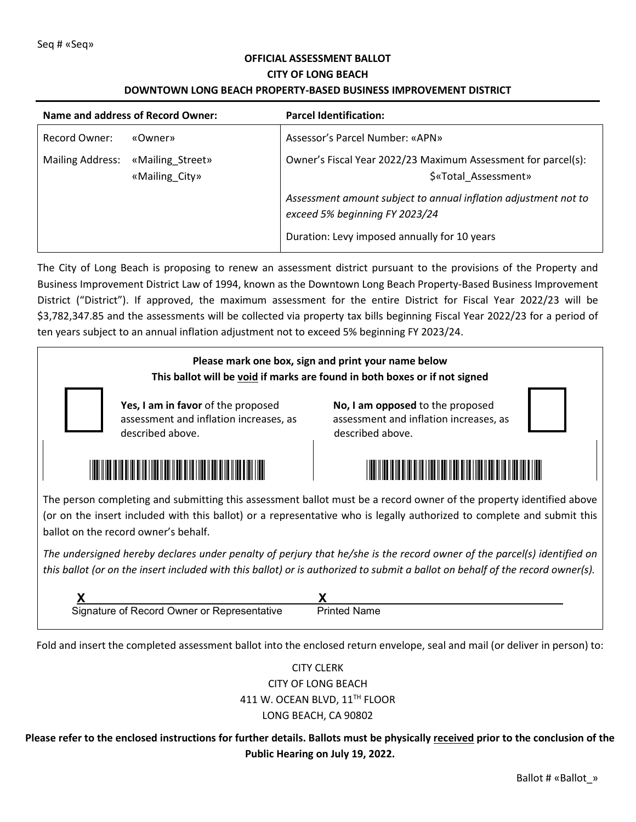## **OFFICIAL ASSESSMENT BALLOT CITY OF LONG BEACH**

#### **DOWNTOWN LONG BEACH PROPERTY-BASED BUSINESS IMPROVEMENT DISTRICT**

| Name and address of Record Owner: |                                    | <b>Parcel Identification:</b>                                                                     |
|-----------------------------------|------------------------------------|---------------------------------------------------------------------------------------------------|
| Record Owner:                     | «Owner»                            | Assessor's Parcel Number: «APN»                                                                   |
| <b>Mailing Address:</b>           | «Mailing Street»<br>«Mailing City» | Owner's Fiscal Year 2022/23 Maximum Assessment for parcel(s):<br>\$«Total Assessment»             |
|                                   |                                    | Assessment amount subject to annual inflation adjustment not to<br>exceed 5% beginning FY 2023/24 |
|                                   |                                    | Duration: Levy imposed annually for 10 years                                                      |

The City of Long Beach is proposing to renew an assessment district pursuant to the provisions of the Property and Business Improvement District Law of 1994, known as the Downtown Long Beach Property-Based Business Improvement District ("District"). If approved, the maximum assessment for the entire District for Fiscal Year 2022/23 will be \$3,782,347.85 and the assessments will be collected via property tax bills beginning Fiscal Year 2022/23 for a period of ten years subject to an annual inflation adjustment not to exceed 5% beginning FY 2023/24.

# **Please mark one box, sign and print your name below This ballot will be void if marks are found in both boxes or if not signed Yes, I am in favor** of the proposed **No, I am opposed** to the proposed assessment and inflation increases, as assessment and inflation increases, as described above. **described** above. \*7281-001-017Y\* \*7281-001-017N\* The person completing and submitting this assessment ballot must be a record owner of the property identified above (or on the insert included with this ballot) or a representative who is legally authorized to complete and submit this ballot on the record owner's behalf.

*The undersigned hereby declares under penalty of perjury that he/she is the record owner of the parcel(s) identified on this ballot (or on the insert included with this ballot) or is authorized to submit a ballot on behalf of the record owner(s).* 

| Signature of Record Owner or Representative | Printed Name |
|---------------------------------------------|--------------|

Fold and insert the completed assessment ballot into the enclosed return envelope, seal and mail (or deliver in person) to:

# CITY CLERK CITY OF LONG BEACH 411 W. OCEAN BLVD, 11<sup>TH</sup> FLOOR LONG BEACH, CA 90802

**Please refer to the enclosed instructions for further details. Ballots must be physically received prior to the conclusion of the Public Hearing on July 19, 2022.**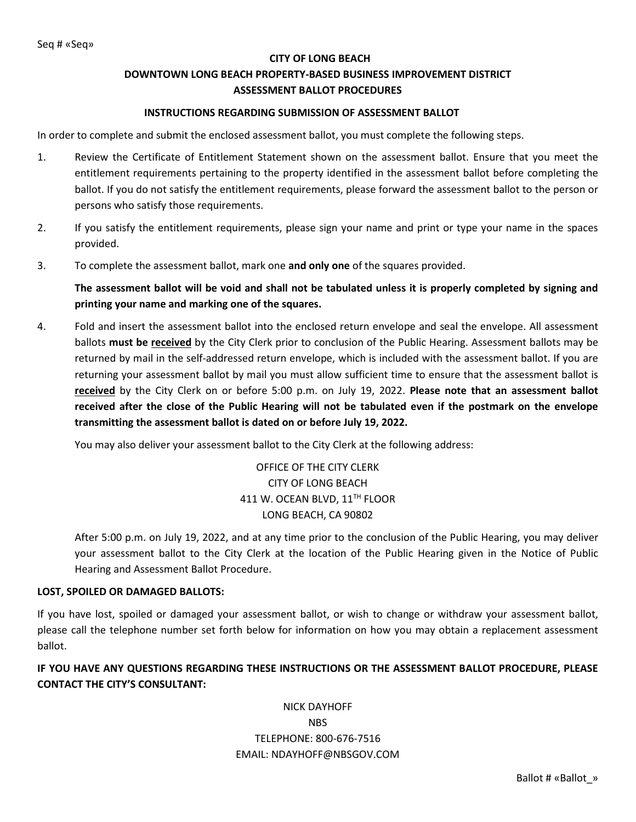#### **CITY OF LONG BEACH**

### **DOWNTOWN LONG BEACH PROPERTY-BASED BUSINESS IMPROVEMENT DISTRICT ASSESSMENT BALLOT PROCEDURES**

#### **INSTRUCTIONS REGARDING SUBMISSION OF ASSESSMENT BALLOT**

In order to complete and submit the enclosed assessment ballot, you must complete the following steps.

- 1. Review the Certificate of Entitlement Statement shown on the assessment ballot. Ensure that you meet the entitlement requirements pertaining to the property identified in the assessment ballot before completing the ballot. If you do not satisfy the entitlement requirements, please forward the assessment ballot to the person or persons who satisfy those requirements.
- 2. If you satisfy the entitlement requirements, please sign your name and print or type your name in the spaces provided.
- 3. To complete the assessment ballot, mark one **and only one** of the squares provided.

**The assessment ballot will be void and shall not be tabulated unless it is properly completed by signing and printing your name and marking one of the squares.**

4. Fold and insert the assessment ballot into the enclosed return envelope and seal the envelope. All assessment ballots **must be received** by the City Clerk prior to conclusion of the Public Hearing. Assessment ballots may be returned by mail in the self-addressed return envelope, which is included with the assessment ballot. If you are returning your assessment ballot by mail you must allow sufficient time to ensure that the assessment ballot is **received** by the City Clerk on or before 5:00 p.m. on July 19, 2022. **Please note that an assessment ballot received after the close of the Public Hearing will not be tabulated even if the postmark on the envelope transmitting the assessment ballot is dated on or before July 19, 2022.**

You may also deliver your assessment ballot to the City Clerk at the following address:

OFFICE OF THE CITY CLERK CITY OF LONG BEACH 411 W. OCEAN BLVD, 11<sup>TH</sup> FLOOR LONG BEACH, CA 90802

 After 5:00 p.m. on July 19, 2022, and at any time prior to the conclusion of the Public Hearing, you may deliver your assessment ballot to the City Clerk at the location of the Public Hearing given in the Notice of Public Hearing and Assessment Ballot Procedure.

#### **LOST, SPOILED OR DAMAGED BALLOTS:**

If you have lost, spoiled or damaged your assessment ballot, or wish to change or withdraw your assessment ballot, please call the telephone number set forth below for information on how you may obtain a replacement assessment ballot.

**IF YOU HAVE ANY QUESTIONS REGARDING THESE INSTRUCTIONS OR THE ASSESSMENT BALLOT PROCEDURE, PLEASE CONTACT THE CITY'S CONSULTANT:**

> NICK DAYHOFF NBS TELEPHONE: 800-676-7516 EMAIL: NDAYHOFF@NBSGOV.COM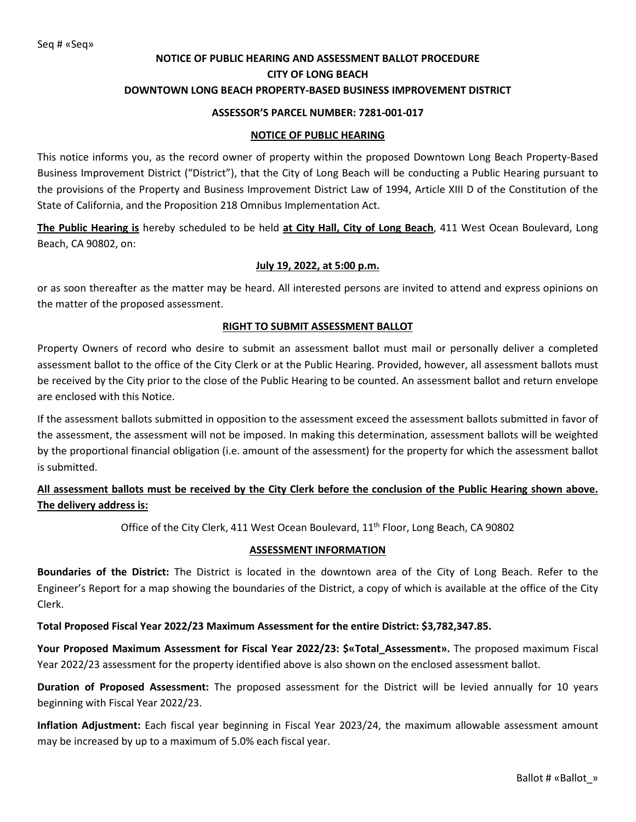## **NOTICE OF PUBLIC HEARING AND ASSESSMENT BALLOT PROCEDURE CITY OF LONG BEACH DOWNTOWN LONG BEACH PROPERTY-BASED BUSINESS IMPROVEMENT DISTRICT**

#### **ASSESSOR'S PARCEL NUMBER: 7281-001-017**

#### **NOTICE OF PUBLIC HEARING**

This notice informs you, as the record owner of property within the proposed Downtown Long Beach Property-Based Business Improvement District ("District"), that the City of Long Beach will be conducting a Public Hearing pursuant to the provisions of the Property and Business Improvement District Law of 1994, Article XIII D of the Constitution of the State of California, and the Proposition 218 Omnibus Implementation Act.

**The Public Hearing is** hereby scheduled to be held **at City Hall, City of Long Beach**, 411 West Ocean Boulevard, Long Beach, CA 90802, on:

#### **July 19, 2022, at 5:00 p.m.**

or as soon thereafter as the matter may be heard. All interested persons are invited to attend and express opinions on the matter of the proposed assessment.

#### **RIGHT TO SUBMIT ASSESSMENT BALLOT**

Property Owners of record who desire to submit an assessment ballot must mail or personally deliver a completed assessment ballot to the office of the City Clerk or at the Public Hearing. Provided, however, all assessment ballots must be received by the City prior to the close of the Public Hearing to be counted. An assessment ballot and return envelope are enclosed with this Notice.

If the assessment ballots submitted in opposition to the assessment exceed the assessment ballots submitted in favor of the assessment, the assessment will not be imposed. In making this determination, assessment ballots will be weighted by the proportional financial obligation (i.e. amount of the assessment) for the property for which the assessment ballot is submitted.

## **All assessment ballots must be received by the City Clerk before the conclusion of the Public Hearing shown above. The delivery address is:**

Office of the City Clerk, 411 West Ocean Boulevard, 11<sup>th</sup> Floor, Long Beach, CA 90802

#### **ASSESSMENT INFORMATION**

**Boundaries of the District:** The District is located in the downtown area of the City of Long Beach. Refer to the Engineer's Report for a map showing the boundaries of the District, a copy of which is available at the office of the City Clerk.

#### **Total Proposed Fiscal Year 2022/23 Maximum Assessment for the entire District: \$3,782,347.85.**

**Your Proposed Maximum Assessment for Fiscal Year 2022/23: \$«Total\_Assessment».** The proposed maximum Fiscal Year 2022/23 assessment for the property identified above is also shown on the enclosed assessment ballot.

**Duration of Proposed Assessment:** The proposed assessment for the District will be levied annually for 10 years beginning with Fiscal Year 2022/23.

**Inflation Adjustment:** Each fiscal year beginning in Fiscal Year 2023/24, the maximum allowable assessment amount may be increased by up to a maximum of 5.0% each fiscal year.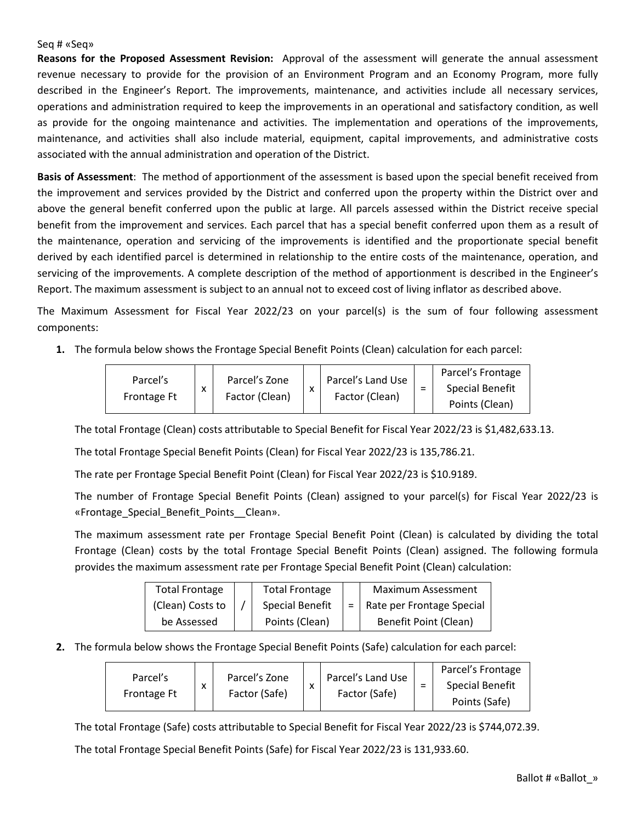#### Seq # «Seq»

**Reasons for the Proposed Assessment Revision:** Approval of the assessment will generate the annual assessment revenue necessary to provide for the provision of an Environment Program and an Economy Program, more fully described in the Engineer's Report. The improvements, maintenance, and activities include all necessary services, operations and administration required to keep the improvements in an operational and satisfactory condition, as well as provide for the ongoing maintenance and activities. The implementation and operations of the improvements, maintenance, and activities shall also include material, equipment, capital improvements, and administrative costs associated with the annual administration and operation of the District.

**Basis of Assessment**: The method of apportionment of the assessment is based upon the special benefit received from the improvement and services provided by the District and conferred upon the property within the District over and above the general benefit conferred upon the public at large. All parcels assessed within the District receive special benefit from the improvement and services. Each parcel that has a special benefit conferred upon them as a result of the maintenance, operation and servicing of the improvements is identified and the proportionate special benefit derived by each identified parcel is determined in relationship to the entire costs of the maintenance, operation, and servicing of the improvements. A complete description of the method of apportionment is described in the Engineer's Report. The maximum assessment is subject to an annual not to exceed cost of living inflator as described above.

The Maximum Assessment for Fiscal Year 2022/23 on your parcel(s) is the sum of four following assessment components:

**1.** The formula below shows the Frontage Special Benefit Points (Clean) calculation for each parcel:

|             | X |                                 |           | Parcel's Land Use |                               | Parcel's Frontage      |
|-------------|---|---------------------------------|-----------|-------------------|-------------------------------|------------------------|
| Parcel's    |   | Parcel's Zone<br>Factor (Clean) | $\lambda$ |                   | $\overline{\phantom{0}}$<br>- | <b>Special Benefit</b> |
| Frontage Ft |   |                                 |           | Factor (Clean)    |                               | Points (Clean)         |

The total Frontage (Clean) costs attributable to Special Benefit for Fiscal Year 2022/23 is \$1,482,633.13.

The total Frontage Special Benefit Points (Clean) for Fiscal Year 2022/23 is 135,786.21.

The rate per Frontage Special Benefit Point (Clean) for Fiscal Year 2022/23 is \$10.9189.

The number of Frontage Special Benefit Points (Clean) assigned to your parcel(s) for Fiscal Year 2022/23 is «Frontage\_Special\_Benefit\_Points\_\_Clean».

The maximum assessment rate per Frontage Special Benefit Point (Clean) is calculated by dividing the total Frontage (Clean) costs by the total Frontage Special Benefit Points (Clean) assigned. The following formula provides the maximum assessment rate per Frontage Special Benefit Point (Clean) calculation:

| <b>Total Frontage</b> | <b>Total Frontage</b>  | Maximum Assessment            |
|-----------------------|------------------------|-------------------------------|
| (Clean) Costs to      | <b>Special Benefit</b> | =   Rate per Frontage Special |
| be Assessed           | Points (Clean)         | Benefit Point (Clean)         |

**2.** The formula below shows the Frontage Special Benefit Points (Safe) calculation for each parcel:

| Parcel's           |   | Parcel's Zone<br>Factor (Safe) | x | Parcel's Land Use | $\overline{\phantom{0}}$ | Parcel's Frontage      |
|--------------------|---|--------------------------------|---|-------------------|--------------------------|------------------------|
|                    | ᄉ |                                |   | Factor (Safe)     |                          | <b>Special Benefit</b> |
| <b>Frontage Ft</b> |   |                                |   |                   |                          | Points (Safe)          |

The total Frontage (Safe) costs attributable to Special Benefit for Fiscal Year 2022/23 is \$744,072.39.

The total Frontage Special Benefit Points (Safe) for Fiscal Year 2022/23 is 131,933.60.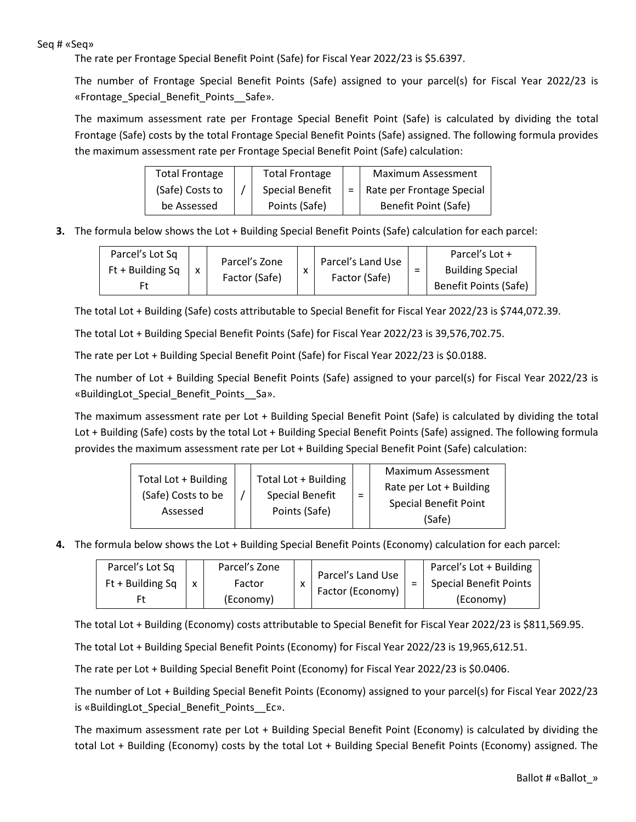#### Seq # «Seq»

The rate per Frontage Special Benefit Point (Safe) for Fiscal Year 2022/23 is \$5.6397.

The number of Frontage Special Benefit Points (Safe) assigned to your parcel(s) for Fiscal Year 2022/23 is «Frontage\_Special\_Benefit\_Points\_\_Safe».

The maximum assessment rate per Frontage Special Benefit Point (Safe) is calculated by dividing the total Frontage (Safe) costs by the total Frontage Special Benefit Points (Safe) assigned. The following formula provides the maximum assessment rate per Frontage Special Benefit Point (Safe) calculation:

| <b>Total Frontage</b> | <b>Total Frontage</b>  | Maximum Assessment              |
|-----------------------|------------------------|---------------------------------|
| (Safe) Costs to       | <b>Special Benefit</b> | $=$   Rate per Frontage Special |
| be Assessed           | Points (Safe)          | Benefit Point (Safe)            |

**3.** The formula below shows the Lot + Building Special Benefit Points (Safe) calculation for each parcel:

| Parcel's Lot Sq    |  | Parcel's Zone |           | Parcel's Land Use<br>Factor (Safe) |                               | Parcel's Lot +          |
|--------------------|--|---------------|-----------|------------------------------------|-------------------------------|-------------------------|
| $Ft + Building Sq$ |  | Factor (Safe) | $\lambda$ |                                    | $\overline{\phantom{0}}$<br>- | <b>Building Special</b> |
|                    |  |               |           |                                    |                               | Benefit Points (Safe)   |

The total Lot + Building (Safe) costs attributable to Special Benefit for Fiscal Year 2022/23 is \$744,072.39.

The total Lot + Building Special Benefit Points (Safe) for Fiscal Year 2022/23 is 39,576,702.75.

The rate per Lot + Building Special Benefit Point (Safe) for Fiscal Year 2022/23 is \$0.0188.

The number of Lot + Building Special Benefit Points (Safe) assigned to your parcel(s) for Fiscal Year 2022/23 is «BuildingLot\_Special\_Benefit\_Points\_\_Sa».

The maximum assessment rate per Lot + Building Special Benefit Point (Safe) is calculated by dividing the total Lot + Building (Safe) costs by the total Lot + Building Special Benefit Points (Safe) assigned. The following formula provides the maximum assessment rate per Lot + Building Special Benefit Point (Safe) calculation:

**4.** The formula below shows the Lot + Building Special Benefit Points (Economy) calculation for each parcel:

| Parcel's Lot Sq    | Parcel's Zone |  | Parcel's Land Use<br>$\lambda$ |   | Parcel's Lot + Building       |
|--------------------|---------------|--|--------------------------------|---|-------------------------------|
| $Ft + Building Sq$ | Factor        |  |                                | - | <b>Special Benefit Points</b> |
|                    | (Economy)     |  | Factor (Economy)               |   | (Economy)                     |

The total Lot + Building (Economy) costs attributable to Special Benefit for Fiscal Year 2022/23 is \$811,569.95.

The total Lot + Building Special Benefit Points (Economy) for Fiscal Year 2022/23 is 19,965,612.51.

The rate per Lot + Building Special Benefit Point (Economy) for Fiscal Year 2022/23 is \$0.0406.

The number of Lot + Building Special Benefit Points (Economy) assigned to your parcel(s) for Fiscal Year 2022/23 is «BuildingLot\_Special\_Benefit\_Points\_\_Ec».

The maximum assessment rate per Lot + Building Special Benefit Point (Economy) is calculated by dividing the total Lot + Building (Economy) costs by the total Lot + Building Special Benefit Points (Economy) assigned. The